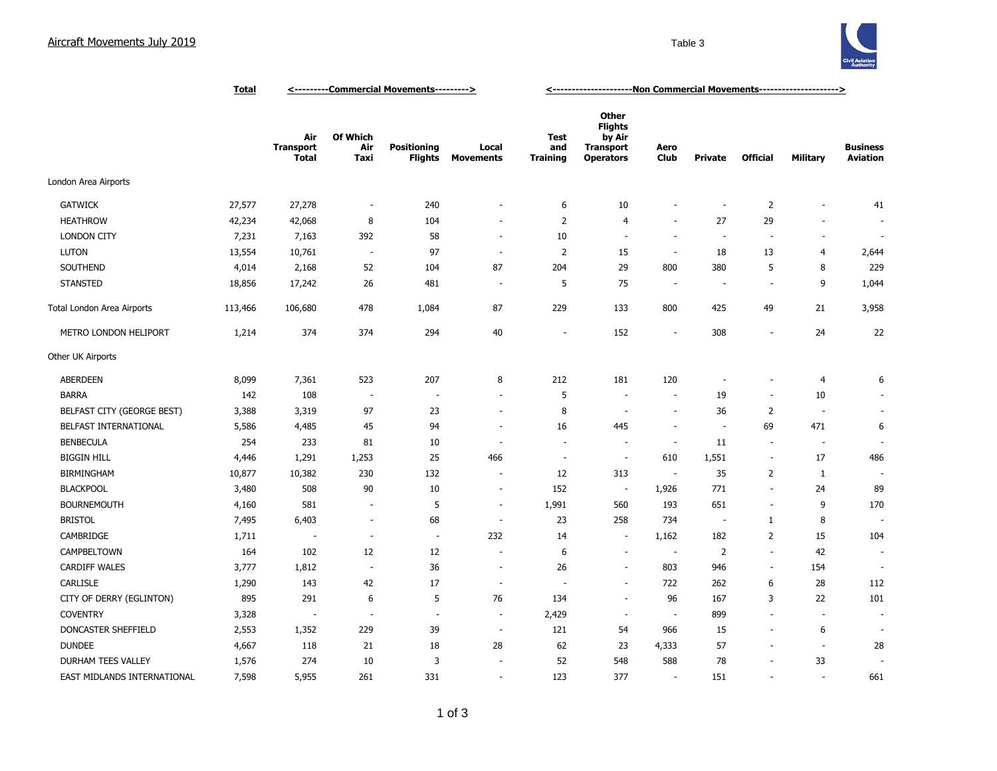## Aircraft Movements July 2019 **Table 3**



|                             | <b>Total</b> | <---------Commercial Movements---------> |                          |                                      |                           | <---------------------Ron Commercial Movements---------------------> |                                                                           |                          |                          |                          |                          |                                    |
|-----------------------------|--------------|------------------------------------------|--------------------------|--------------------------------------|---------------------------|----------------------------------------------------------------------|---------------------------------------------------------------------------|--------------------------|--------------------------|--------------------------|--------------------------|------------------------------------|
|                             |              | Air<br><b>Transport</b><br>Total         | Of Which<br>Air<br>Taxi  | <b>Positioning</b><br><b>Flights</b> | Local<br><b>Movements</b> | Test<br>and<br><b>Training</b>                                       | Other<br><b>Flights</b><br>by Air<br><b>Transport</b><br><b>Operators</b> | Aero<br>Club             | Private                  | <b>Official</b>          | Military                 | <b>Business</b><br><b>Aviation</b> |
| London Area Airports        |              |                                          |                          |                                      |                           |                                                                      |                                                                           |                          |                          |                          |                          |                                    |
| <b>GATWICK</b>              | 27,577       | 27,278                                   | $\overline{\phantom{a}}$ | 240                                  | ٠                         | 6                                                                    | 10                                                                        |                          | $\sim$                   | $\overline{2}$           |                          | 41                                 |
| <b>HEATHROW</b>             | 42,234       | 42,068                                   | 8                        | 104                                  | ٠                         | $\overline{2}$                                                       | $\overline{4}$                                                            | $\overline{\phantom{a}}$ | 27                       | 29                       |                          |                                    |
| <b>LONDON CITY</b>          | 7,231        | 7,163                                    | 392                      | 58                                   | $\overline{\phantom{a}}$  | 10                                                                   | ÷.                                                                        | $\sim$                   | $\sim$                   | $\sim$                   | $\overline{\phantom{a}}$ | $\sim$                             |
| <b>LUTON</b>                | 13,554       | 10,761                                   | $\sim$                   | 97                                   | $\overline{\phantom{a}}$  | $\overline{2}$                                                       | 15                                                                        | $\sim$                   | 18                       | 13                       | 4                        | 2,644                              |
| SOUTHEND                    | 4,014        | 2,168                                    | 52                       | 104                                  | 87                        | 204                                                                  | 29                                                                        | 800                      | 380                      | 5                        | 8                        | 229                                |
| <b>STANSTED</b>             | 18,856       | 17,242                                   | 26                       | 481                                  | $\overline{a}$            | 5                                                                    | 75                                                                        | $\overline{\phantom{a}}$ | ÷                        | $\overline{\phantom{a}}$ | 9                        | 1,044                              |
| Total London Area Airports  | 113,466      | 106,680                                  | 478                      | 1,084                                | 87                        | 229                                                                  | 133                                                                       | 800                      | 425                      | 49                       | 21                       | 3,958                              |
| METRO LONDON HELIPORT       | 1,214        | 374                                      | 374                      | 294                                  | $40\,$                    | $\overline{\phantom{a}}$                                             | 152                                                                       | ÷.                       | 308                      | ÷.                       | 24                       | 22                                 |
| Other UK Airports           |              |                                          |                          |                                      |                           |                                                                      |                                                                           |                          |                          |                          |                          |                                    |
| <b>ABERDEEN</b>             | 8,099        | 7,361                                    | 523                      | 207                                  | 8                         | 212                                                                  | 181                                                                       | 120                      |                          | ٠                        | 4                        | 6                                  |
| <b>BARRA</b>                | 142          | 108                                      | $\overline{\phantom{a}}$ | $\overline{\phantom{a}}$             | $\overline{\phantom{a}}$  | 5                                                                    | $\sim$                                                                    | $\sim$                   | 19                       | $\overline{\phantom{a}}$ | 10                       |                                    |
| BELFAST CITY (GEORGE BEST)  | 3,388        | 3,319                                    | 97                       | 23                                   | $\overline{\phantom{a}}$  | 8                                                                    | $\sim$                                                                    | ÷.                       | 36                       | 2                        | $\overline{\phantom{a}}$ |                                    |
| BELFAST INTERNATIONAL       | 5,586        | 4,485                                    | 45                       | 94                                   | $\overline{\phantom{a}}$  | 16                                                                   | 445                                                                       | $\sim$                   | $\overline{\phantom{a}}$ | 69                       | 471                      | 6                                  |
| <b>BENBECULA</b>            | 254          | 233                                      | 81                       | $10\,$                               | $\overline{\phantom{a}}$  | $\overline{\phantom{a}}$                                             | $\sim$                                                                    | $\overline{\phantom{a}}$ | 11                       | $\overline{\phantom{a}}$ | $\overline{\phantom{a}}$ | $\sim$                             |
| <b>BIGGIN HILL</b>          | 4,446        | 1,291                                    | 1,253                    | 25                                   | 466                       | ÷.                                                                   | $\sim$                                                                    | 610                      | 1,551                    | $\overline{\phantom{a}}$ | 17                       | 486                                |
| <b>BIRMINGHAM</b>           | 10,877       | 10,382                                   | 230                      | 132                                  | $\overline{\phantom{a}}$  | 12                                                                   | 313                                                                       | $\overline{\phantom{a}}$ | 35                       | 2                        | $\mathbf{1}$             | $\overline{\phantom{a}}$           |
| <b>BLACKPOOL</b>            | 3,480        | 508                                      | 90                       | 10                                   | $\sim$                    | 152                                                                  | $\overline{\phantom{a}}$                                                  | 1,926                    | 771                      | $\blacksquare$           | 24                       | 89                                 |
| <b>BOURNEMOUTH</b>          | 4,160        | 581                                      | $\sim$                   | 5                                    | $\overline{\phantom{a}}$  | 1,991                                                                | 560                                                                       | 193                      | 651                      | $\overline{\phantom{a}}$ | 9                        | 170                                |
| <b>BRISTOL</b>              | 7,495        | 6,403                                    | $\sim$                   | 68                                   | $\sim$                    | 23                                                                   | 258                                                                       | 734                      | $\overline{\phantom{a}}$ | $\mathbf{1}$             | 8                        | ÷,                                 |
| CAMBRIDGE                   | 1,711        | ٠.                                       | ÷,                       | $\sim$                               | 232                       | 14                                                                   | $\sim$                                                                    | 1,162                    | 182                      | 2                        | 15                       | 104                                |
| CAMPBELTOWN                 | 164          | 102                                      | 12                       | 12                                   | ÷,                        | 6                                                                    | $\sim$                                                                    | $\sim$                   | 2                        | $\overline{\phantom{a}}$ | 42                       | $\sim$                             |
| <b>CARDIFF WALES</b>        | 3,777        | 1,812                                    | $\sim$                   | 36                                   | ÷,                        | 26                                                                   |                                                                           | 803                      | 946                      | $\overline{\phantom{a}}$ | 154                      |                                    |
| CARLISLE                    | 1,290        | 143                                      | 42                       | $17\,$                               | ÷,                        |                                                                      | ÷.                                                                        | 722                      | 262                      | 6                        | 28                       | 112                                |
| CITY OF DERRY (EGLINTON)    | 895          | 291                                      | 6                        | 5                                    | 76                        | 134                                                                  | ÷.                                                                        | 96                       | 167                      | 3                        | 22                       | 101                                |
| <b>COVENTRY</b>             | 3,328        | $\overline{\phantom{a}}$                 | $\sim$                   | ÷.                                   | $\overline{\phantom{a}}$  | 2,429                                                                | $\sim$                                                                    | $\overline{\phantom{a}}$ | 899                      | ÷.                       | $\sim$                   | $\overline{\phantom{a}}$           |
| DONCASTER SHEFFIELD         | 2,553        | 1,352                                    | 229                      | 39                                   | $\overline{\phantom{a}}$  | 121                                                                  | 54                                                                        | 966                      | 15                       | $\blacksquare$           | 6                        | $\overline{\phantom{a}}$           |
| <b>DUNDEE</b>               | 4,667        | 118                                      | 21                       | 18                                   | 28                        | 62                                                                   | 23                                                                        | 4,333                    | 57                       | $\blacksquare$           | $\overline{\phantom{a}}$ | 28                                 |
| DURHAM TEES VALLEY          | 1,576        | 274                                      | 10                       | 3                                    |                           | 52                                                                   | 548                                                                       | 588                      | 78                       | $\blacksquare$           | 33                       |                                    |
| EAST MIDLANDS INTERNATIONAL | 7,598        | 5,955                                    | 261                      | 331                                  | $\overline{\phantom{a}}$  | 123                                                                  | 377                                                                       | $\overline{\phantom{a}}$ | 151                      | $\blacksquare$           |                          | 661                                |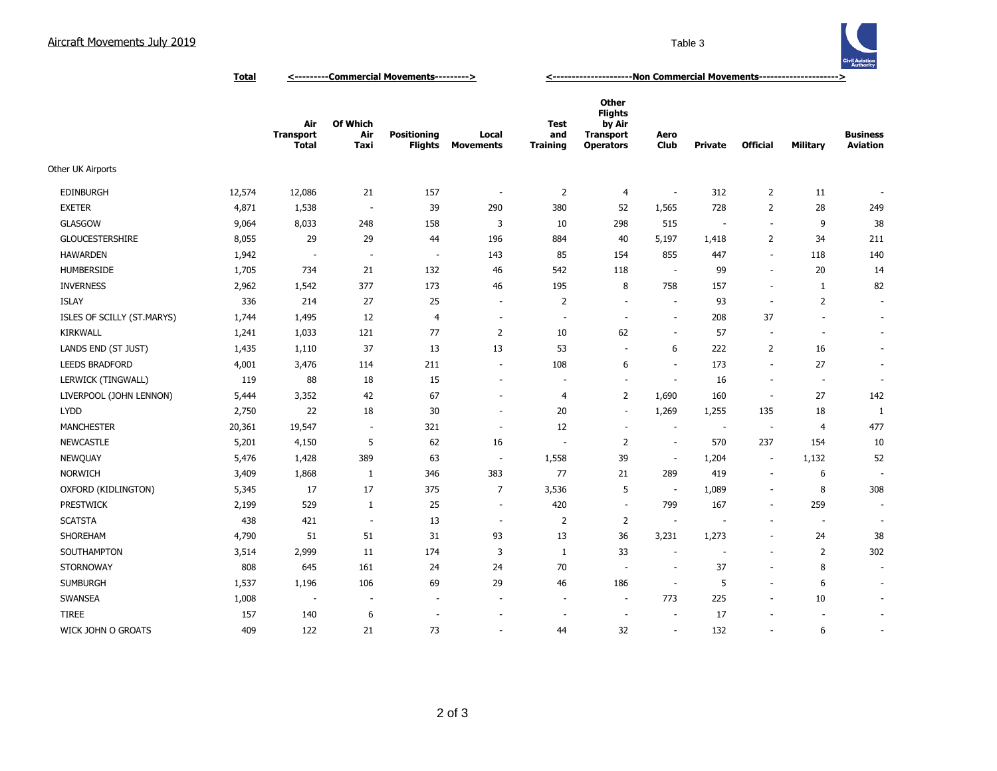## Aircraft Movements July 2019 **Table 3**



**Total <---------Commercial Movements---------> <---------------------Non Commercial Movements--------------------->**

|                            |        | Air<br><b>Transport</b><br><b>Total</b> | Of Which<br>Air<br>Taxi  | <b>Positioning</b><br><b>Flights</b> | Local<br><b>Movements</b> | Test<br>and<br><b>Training</b> | <b>Other</b><br><b>Flights</b><br>by Air<br><b>Transport</b><br><b>Operators</b> | Aero<br><b>Club</b>      | <b>Private</b>           | <b>Official</b>          | <b>Military</b>          | <b>Business</b><br><b>Aviation</b> |
|----------------------------|--------|-----------------------------------------|--------------------------|--------------------------------------|---------------------------|--------------------------------|----------------------------------------------------------------------------------|--------------------------|--------------------------|--------------------------|--------------------------|------------------------------------|
| Other UK Airports          |        |                                         |                          |                                      |                           |                                |                                                                                  |                          |                          |                          |                          |                                    |
| <b>EDINBURGH</b>           | 12,574 | 12,086                                  | 21                       | 157                                  | $\overline{\phantom{a}}$  | $\overline{2}$                 | 4                                                                                | $\overline{\phantom{a}}$ | 312                      | $\overline{2}$           | 11                       |                                    |
| <b>EXETER</b>              | 4,871  | 1,538                                   | $\overline{\phantom{a}}$ | 39                                   | 290                       | 380                            | 52                                                                               | 1,565                    | 728                      | $\overline{2}$           | 28                       | 249                                |
| <b>GLASGOW</b>             | 9,064  | 8,033                                   | 248                      | 158                                  | 3                         | 10                             | 298                                                                              | 515                      | $\overline{\phantom{a}}$ | ÷.                       | 9                        | 38                                 |
| <b>GLOUCESTERSHIRE</b>     | 8,055  | 29                                      | 29                       | 44                                   | 196                       | 884                            | 40                                                                               | 5,197                    | 1,418                    | $\overline{2}$           | 34                       | 211                                |
| <b>HAWARDEN</b>            | 1,942  | $\overline{\phantom{a}}$                | $\sim$                   | $\overline{\phantom{a}}$             | 143                       | 85                             | 154                                                                              | 855                      | 447                      | $\overline{\phantom{a}}$ | 118                      | 140                                |
| HUMBERSIDE                 | 1,705  | 734                                     | 21                       | 132                                  | 46                        | 542                            | 118                                                                              | $\overline{\phantom{a}}$ | 99                       | $\overline{\phantom{a}}$ | 20                       | 14                                 |
| <b>INVERNESS</b>           | 2,962  | 1,542                                   | 377                      | 173                                  | 46                        | 195                            | 8                                                                                | 758                      | 157                      | $\sim$                   | 1                        | 82                                 |
| <b>ISLAY</b>               | 336    | 214                                     | 27                       | 25                                   | $\overline{\phantom{a}}$  | $\overline{2}$                 | $\sim$                                                                           | ÷.                       | 93                       | $\overline{\phantom{a}}$ | $\overline{2}$           | $\overline{\phantom{a}}$           |
| ISLES OF SCILLY (ST.MARYS) | 1,744  | 1,495                                   | 12                       | 4                                    | $\overline{\phantom{a}}$  | $\overline{\phantom{a}}$       | $\overline{\phantom{a}}$                                                         | $\overline{\phantom{a}}$ | 208                      | 37                       | $\overline{\phantom{a}}$ | $\overline{\phantom{a}}$           |
| <b>KIRKWALL</b>            | 1,241  | 1,033                                   | 121                      | 77                                   | $\overline{2}$            | 10                             | 62                                                                               | $\overline{\phantom{a}}$ | 57                       | $\overline{\phantom{a}}$ | $\overline{\phantom{a}}$ | $\overline{\phantom{a}}$           |
| LANDS END (ST JUST)        | 1,435  | 1,110                                   | 37                       | 13                                   | 13                        | 53                             | $\overline{\phantom{a}}$                                                         | 6                        | 222                      | 2                        | 16                       | $\blacksquare$                     |
| <b>LEEDS BRADFORD</b>      | 4,001  | 3,476                                   | 114                      | 211                                  | $\overline{\phantom{a}}$  | 108                            | 6                                                                                | $\overline{\phantom{a}}$ | 173                      | $\overline{\phantom{a}}$ | 27                       | $\overline{\phantom{a}}$           |
| LERWICK (TINGWALL)         | 119    | 88                                      | 18                       | 15                                   | ÷.                        | $\sim$                         | $\sim$                                                                           | ÷                        | 16                       | $\sim$                   | ÷.                       | $\sim$                             |
| LIVERPOOL (JOHN LENNON)    | 5,444  | 3,352                                   | 42                       | 67                                   | ÷,                        | $\overline{4}$                 | 2                                                                                | 1,690                    | 160                      | $\sim$                   | 27                       | 142                                |
| <b>LYDD</b>                | 2,750  | 22                                      | 18                       | 30                                   | $\overline{\phantom{a}}$  | 20                             | $\overline{\phantom{a}}$                                                         | 1,269                    | 1,255                    | 135                      | 18                       | 1                                  |
| <b>MANCHESTER</b>          | 20,361 | 19,547                                  | $\overline{\phantom{a}}$ | 321                                  | $\overline{a}$            | 12                             | $\overline{\phantom{a}}$                                                         | $\overline{\phantom{a}}$ | $\overline{\phantom{a}}$ | $\overline{\phantom{a}}$ | $\overline{4}$           | 477                                |
| <b>NEWCASTLE</b>           | 5,201  | 4,150                                   | 5                        | 62                                   | 16                        | $\sim$                         | 2                                                                                | $\overline{\phantom{a}}$ | 570                      | 237                      | 154                      | 10                                 |
| <b>NEWQUAY</b>             | 5,476  | 1,428                                   | 389                      | 63                                   | $\sim$                    | 1,558                          | 39                                                                               | $\overline{\phantom{a}}$ | 1,204                    | $\overline{\phantom{a}}$ | 1,132                    | 52                                 |
| <b>NORWICH</b>             | 3,409  | 1,868                                   | 1                        | 346                                  | 383                       | 77                             | 21                                                                               | 289                      | 419                      | $\overline{\phantom{a}}$ | 6                        | ÷                                  |
| OXFORD (KIDLINGTON)        | 5,345  | 17                                      | 17                       | 375                                  | $\overline{7}$            | 3,536                          | 5                                                                                | $\overline{\phantom{a}}$ | 1,089                    | ÷.                       | 8                        | 308                                |
| <b>PRESTWICK</b>           | 2,199  | 529                                     | 1                        | 25                                   | $\sim$                    | 420                            | $\overline{\phantom{a}}$                                                         | 799                      | 167                      | $\overline{\phantom{a}}$ | 259                      | $\overline{\phantom{a}}$           |
| <b>SCATSTA</b>             | 438    | 421                                     | $\overline{\phantom{a}}$ | 13                                   | $\overline{\phantom{a}}$  | $\overline{2}$                 | 2                                                                                | $\overline{\phantom{a}}$ | $\overline{\phantom{a}}$ | $\overline{\phantom{a}}$ | $\overline{\phantom{a}}$ | $\overline{\phantom{a}}$           |
| SHOREHAM                   | 4,790  | 51                                      | 51                       | 31                                   | 93                        | 13                             | 36                                                                               | 3,231                    | 1,273                    | $\sim$                   | 24                       | 38                                 |
| SOUTHAMPTON                | 3,514  | 2,999                                   | 11                       | 174                                  | 3                         | 1                              | 33                                                                               | $\sim$                   | $\sim$                   | $\sim$                   | 2                        | 302                                |
| <b>STORNOWAY</b>           | 808    | 645                                     | 161                      | 24                                   | 24                        | 70                             | $\sim$                                                                           | $\overline{\phantom{a}}$ | 37                       | $\overline{\phantom{a}}$ | 8                        | $\overline{\phantom{a}}$           |
| <b>SUMBURGH</b>            | 1,537  | 1,196                                   | 106                      | 69                                   | 29                        | 46                             | 186                                                                              | $\overline{\phantom{a}}$ | 5                        | $\sim$                   | 6                        | $\overline{\phantom{a}}$           |
| <b>SWANSEA</b>             | 1,008  | $\overline{\phantom{a}}$                | $\overline{\phantom{a}}$ | $\overline{\phantom{a}}$             | $\overline{\phantom{a}}$  | $\overline{\phantom{a}}$       | $\overline{\phantom{a}}$                                                         | 773                      | 225                      | $\sim$                   | 10                       | $\overline{\phantom{a}}$           |
| <b>TIREE</b>               | 157    | 140                                     | 6                        |                                      | ÷                         | ÷,                             | $\sim$                                                                           | $\overline{\phantom{a}}$ | 17                       |                          |                          | $\overline{\phantom{a}}$           |
| WICK JOHN O GROATS         | 409    | 122                                     | 21                       | 73                                   | ٠                         | 44                             | 32                                                                               | $\overline{\phantom{a}}$ | 132                      | $\overline{\phantom{a}}$ | 6                        | $\overline{\phantom{a}}$           |